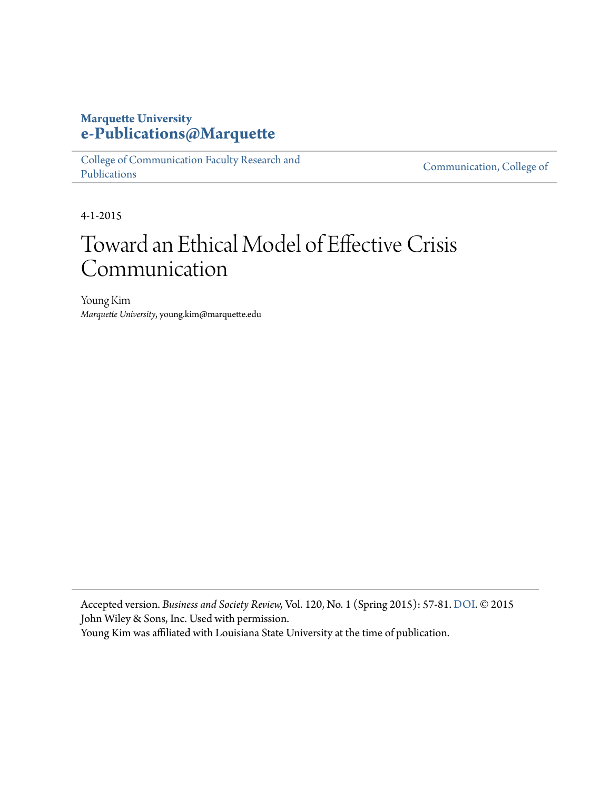### **Marquette University [e-Publications@Marquette](https://epublications.marquette.edu)**

[College of Communication Faculty Research and](https://epublications.marquette.edu/comm_fac) [Publications](https://epublications.marquette.edu/comm_fac)

[Communication, College of](https://epublications.marquette.edu/communication)

4-1-2015

## Toward an Ethical Model of Effective Crisis Communication

Young Kim *Marquette University*, young.kim@marquette.edu

Accepted version. *Business and Society Review,* Vol. 120, No. 1 (Spring 2015): 57-81. [DOI](http://dx.doi.org/10.1111/basr.12048). © 2015 John Wiley & Sons, Inc. Used with permission.

Young Kim was affiliated with Louisiana State University at the time of publication.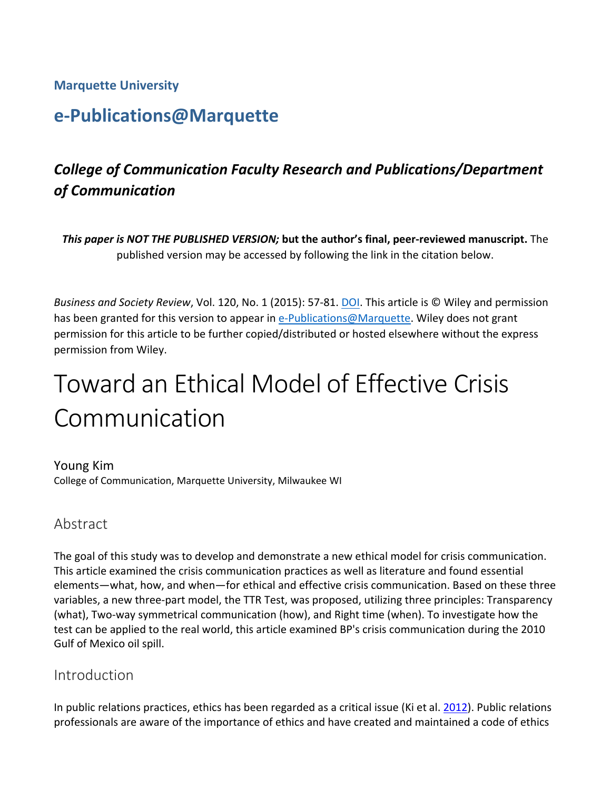#### **Marquette University**

## **e‐Publications@Marquette**

## *College of Communication Faculty Research and Publications/Department of Communication*

*This paper is NOT THE PUBLISHED VERSION;* **but the author's final, peer‐reviewed manuscript.** The published version may be accessed by following the link in the citation below.

*Business and Society Review*, Vol. 120, No. 1 (2015): 57‐81. DOI. This article is © Wiley and permission has been granted for this version to appear in e-Publications@Marquette. Wiley does not grant permission for this article to be further copied/distributed or hosted elsewhere without the express permission from Wiley.

# Toward an Ethical Model of Effective Crisis Communication

Young Kim College of Communication, Marquette University, Milwaukee WI

#### Abstract

The goal of this study was to develop and demonstrate a new ethical model for crisis communication. This article examined the crisis communication practices as well as literature and found essential elements—what, how, and when—for ethical and effective crisis communication. Based on these three variables, a new three‐part model, the TTR Test, was proposed, utilizing three principles: Transparency (what), Two‐way symmetrical communication (how), and Right time (when). To investigate how the test can be applied to the real world, this article examined BP's crisis communication during the 2010 Gulf of Mexico oil spill.

#### Introduction

In public relations practices, ethics has been regarded as a critical issue (Ki et al. 2012). Public relations professionals are aware of the importance of ethics and have created and maintained a code of ethics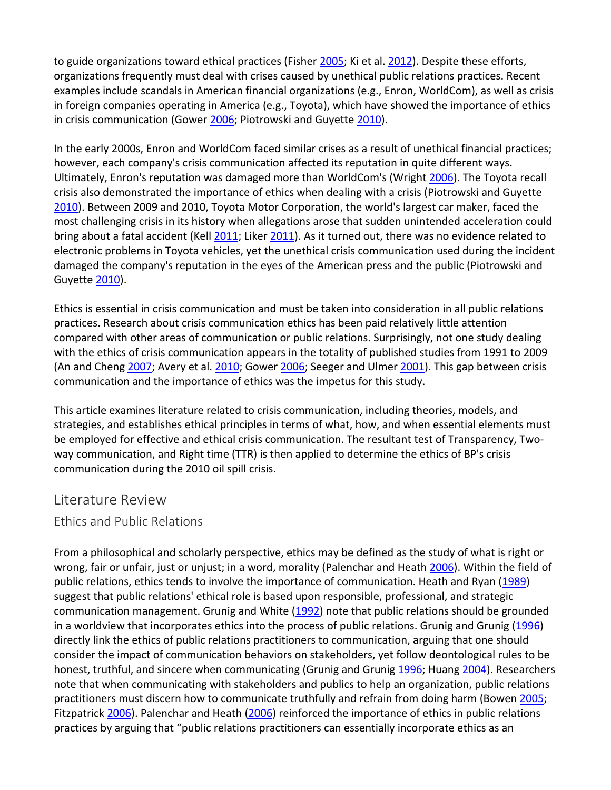to guide organizations toward ethical practices (Fisher 2005; Ki et al. 2012). Despite these efforts, organizations frequently must deal with crises caused by unethical public relations practices. Recent examples include scandals in American financial organizations (e.g., Enron, WorldCom), as well as crisis in foreign companies operating in America (e.g., Toyota), which have showed the importance of ethics in crisis communication (Gower 2006; Piotrowski and Guyette 2010).

In the early 2000s, Enron and WorldCom faced similar crises as a result of unethical financial practices; however, each company's crisis communication affected its reputation in quite different ways. Ultimately, Enron's reputation was damaged more than WorldCom's (Wright 2006). The Toyota recall crisis also demonstrated the importance of ethics when dealing with a crisis (Piotrowski and Guyette 2010). Between 2009 and 2010, Toyota Motor Corporation, the world's largest car maker, faced the most challenging crisis in its history when allegations arose that sudden unintended acceleration could bring about a fatal accident (Kell 2011; Liker 2011). As it turned out, there was no evidence related to electronic problems in Toyota vehicles, yet the unethical crisis communication used during the incident damaged the company's reputation in the eyes of the American press and the public (Piotrowski and Guyette 2010).

Ethics is essential in crisis communication and must be taken into consideration in all public relations practices. Research about crisis communication ethics has been paid relatively little attention compared with other areas of communication or public relations. Surprisingly, not one study dealing with the ethics of crisis communication appears in the totality of published studies from 1991 to 2009 (An and Cheng 2007; Avery et al. 2010; Gower 2006; Seeger and Ulmer 2001). This gap between crisis communication and the importance of ethics was the impetus for this study.

This article examines literature related to crisis communication, including theories, models, and strategies, and establishes ethical principles in terms of what, how, and when essential elements must be employed for effective and ethical crisis communication. The resultant test of Transparency, Twoway communication, and Right time (TTR) is then applied to determine the ethics of BP's crisis communication during the 2010 oil spill crisis.

#### Literature Review

#### Ethics and Public Relations

From a philosophical and scholarly perspective, ethics may be defined as the study of what is right or wrong, fair or unfair, just or unjust; in a word, morality (Palenchar and Heath 2006). Within the field of public relations, ethics tends to involve the importance of communication. Heath and Ryan (1989) suggest that public relations' ethical role is based upon responsible, professional, and strategic communication management. Grunig and White (1992) note that public relations should be grounded in a worldview that incorporates ethics into the process of public relations. Grunig and Grunig (1996) directly link the ethics of public relations practitioners to communication, arguing that one should consider the impact of communication behaviors on stakeholders, yet follow deontological rules to be honest, truthful, and sincere when communicating (Grunig and Grunig 1996; Huang 2004). Researchers note that when communicating with stakeholders and publics to help an organization, public relations practitioners must discern how to communicate truthfully and refrain from doing harm (Bowen 2005; Fitzpatrick 2006). Palenchar and Heath (2006) reinforced the importance of ethics in public relations practices by arguing that "public relations practitioners can essentially incorporate ethics as an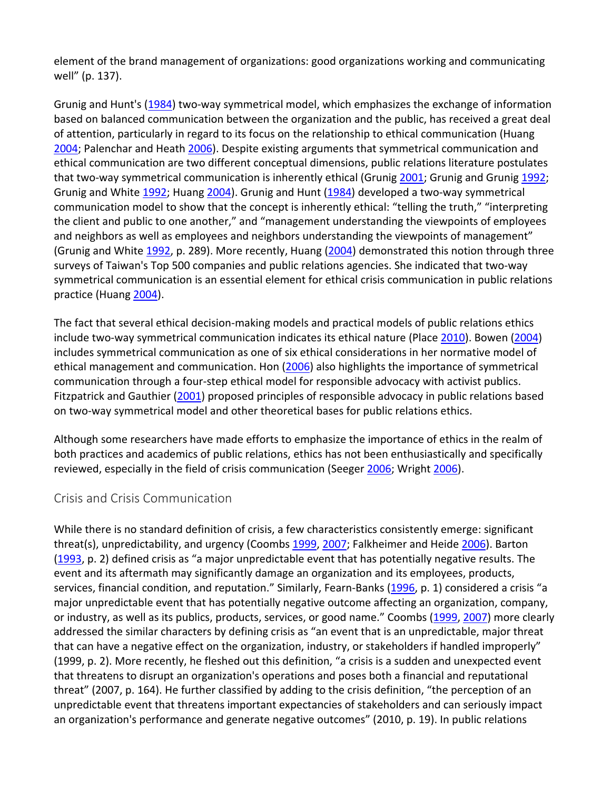element of the brand management of organizations: good organizations working and communicating well" (p. 137).

Grunig and Hunt's (1984) two-way symmetrical model, which emphasizes the exchange of information based on balanced communication between the organization and the public, has received a great deal of attention, particularly in regard to its focus on the relationship to ethical communication (Huang 2004; Palenchar and Heath 2006). Despite existing arguments that symmetrical communication and ethical communication are two different conceptual dimensions, public relations literature postulates that two-way symmetrical communication is inherently ethical (Grunig 2001; Grunig and Grunig 1992; Grunig and White 1992; Huang 2004). Grunig and Hunt (1984) developed a two-way symmetrical communication model to show that the concept is inherently ethical: "telling the truth," "interpreting the client and public to one another," and "management understanding the viewpoints of employees and neighbors as well as employees and neighbors understanding the viewpoints of management" (Grunig and White 1992, p. 289). More recently, Huang (2004) demonstrated this notion through three surveys of Taiwan's Top 500 companies and public relations agencies. She indicated that two‐way symmetrical communication is an essential element for ethical crisis communication in public relations practice (Huang 2004).

The fact that several ethical decision‐making models and practical models of public relations ethics include two‐way symmetrical communication indicates its ethical nature (Place 2010). Bowen (2004) includes symmetrical communication as one of six ethical considerations in her normative model of ethical management and communication. Hon (2006) also highlights the importance of symmetrical communication through a four‐step ethical model for responsible advocacy with activist publics. Fitzpatrick and Gauthier (2001) proposed principles of responsible advocacy in public relations based on two‐way symmetrical model and other theoretical bases for public relations ethics.

Although some researchers have made efforts to emphasize the importance of ethics in the realm of both practices and academics of public relations, ethics has not been enthusiastically and specifically reviewed, especially in the field of crisis communication (Seeger 2006; Wright 2006).

#### Crisis and Crisis Communication

While there is no standard definition of crisis, a few characteristics consistently emerge: significant threat(s), unpredictability, and urgency (Coombs 1999, 2007; Falkheimer and Heide 2006). Barton (1993, p. 2) defined crisis as "a major unpredictable event that has potentially negative results. The event and its aftermath may significantly damage an organization and its employees, products, services, financial condition, and reputation." Similarly, Fearn-Banks (1996, p. 1) considered a crisis "a major unpredictable event that has potentially negative outcome affecting an organization, company, or industry, as well as its publics, products, services, or good name." Coombs (1999, 2007) more clearly addressed the similar characters by defining crisis as "an event that is an unpredictable, major threat that can have a negative effect on the organization, industry, or stakeholders if handled improperly" (1999, p. 2). More recently, he fleshed out this definition, "a crisis is a sudden and unexpected event that threatens to disrupt an organization's operations and poses both a financial and reputational threat" (2007, p. 164). He further classified by adding to the crisis definition, "the perception of an unpredictable event that threatens important expectancies of stakeholders and can seriously impact an organization's performance and generate negative outcomes" (2010, p. 19). In public relations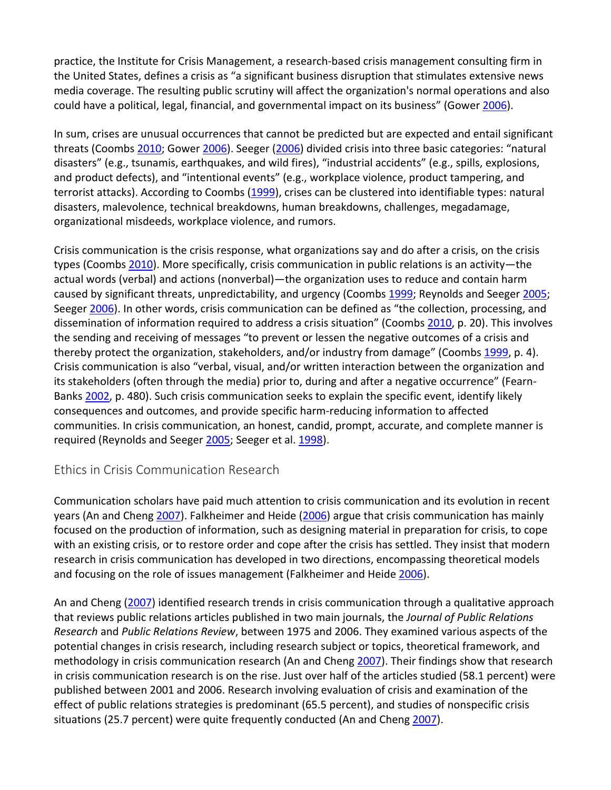practice, the Institute for Crisis Management, a research‐based crisis management consulting firm in the United States, defines a crisis as "a significant business disruption that stimulates extensive news media coverage. The resulting public scrutiny will affect the organization's normal operations and also could have a political, legal, financial, and governmental impact on its business" (Gower 2006).

In sum, crises are unusual occurrences that cannot be predicted but are expected and entail significant threats (Coombs 2010; Gower 2006). Seeger (2006) divided crisis into three basic categories: "natural disasters" (e.g., tsunamis, earthquakes, and wild fires), "industrial accidents" (e.g., spills, explosions, and product defects), and "intentional events" (e.g., workplace violence, product tampering, and terrorist attacks). According to Coombs (1999), crises can be clustered into identifiable types: natural disasters, malevolence, technical breakdowns, human breakdowns, challenges, megadamage, organizational misdeeds, workplace violence, and rumors.

Crisis communication is the crisis response, what organizations say and do after a crisis, on the crisis types (Coombs 2010). More specifically, crisis communication in public relations is an activity—the actual words (verbal) and actions (nonverbal)—the organization uses to reduce and contain harm caused by significant threats, unpredictability, and urgency (Coombs 1999; Reynolds and Seeger 2005; Seeger 2006). In other words, crisis communication can be defined as "the collection, processing, and dissemination of information required to address a crisis situation" (Coombs 2010, p. 20). This involves the sending and receiving of messages "to prevent or lessen the negative outcomes of a crisis and thereby protect the organization, stakeholders, and/or industry from damage" (Coombs 1999, p. 4). Crisis communication is also "verbal, visual, and/or written interaction between the organization and its stakeholders (often through the media) prior to, during and after a negative occurrence" (Fearn‐ Banks 2002, p. 480). Such crisis communication seeks to explain the specific event, identify likely consequences and outcomes, and provide specific harm‐reducing information to affected communities. In crisis communication, an honest, candid, prompt, accurate, and complete manner is required (Reynolds and Seeger 2005; Seeger et al. 1998).

#### Ethics in Crisis Communication Research

Communication scholars have paid much attention to crisis communication and its evolution in recent years (An and Cheng 2007). Falkheimer and Heide (2006) argue that crisis communication has mainly focused on the production of information, such as designing material in preparation for crisis, to cope with an existing crisis, or to restore order and cope after the crisis has settled. They insist that modern research in crisis communication has developed in two directions, encompassing theoretical models and focusing on the role of issues management (Falkheimer and Heide 2006).

An and Cheng (2007) identified research trends in crisis communication through a qualitative approach that reviews public relations articles published in two main journals, the *Journal of Public Relations Research* and *Public Relations Review*, between 1975 and 2006. They examined various aspects of the potential changes in crisis research, including research subject or topics, theoretical framework, and methodology in crisis communication research (An and Cheng 2007). Their findings show that research in crisis communication research is on the rise. Just over half of the articles studied (58.1 percent) were published between 2001 and 2006. Research involving evaluation of crisis and examination of the effect of public relations strategies is predominant (65.5 percent), and studies of nonspecific crisis situations (25.7 percent) were quite frequently conducted (An and Cheng 2007).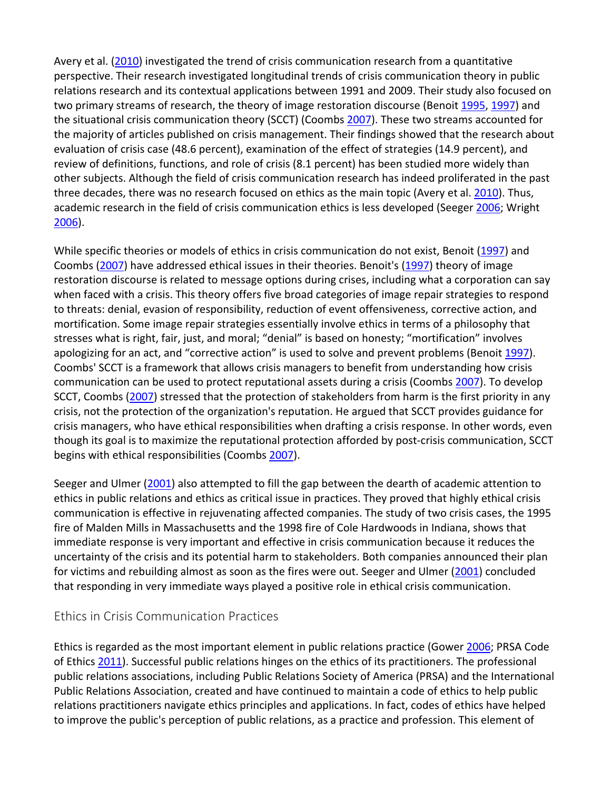Avery et al. (2010) investigated the trend of crisis communication research from a quantitative perspective. Their research investigated longitudinal trends of crisis communication theory in public relations research and its contextual applications between 1991 and 2009. Their study also focused on two primary streams of research, the theory of image restoration discourse (Benoit 1995, 1997) and the situational crisis communication theory (SCCT) (Coombs 2007). These two streams accounted for the majority of articles published on crisis management. Their findings showed that the research about evaluation of crisis case (48.6 percent), examination of the effect of strategies (14.9 percent), and review of definitions, functions, and role of crisis (8.1 percent) has been studied more widely than other subjects. Although the field of crisis communication research has indeed proliferated in the past three decades, there was no research focused on ethics as the main topic (Avery et al. 2010). Thus, academic research in the field of crisis communication ethics is less developed (Seeger 2006; Wright 2006).

While specific theories or models of ethics in crisis communication do not exist, Benoit (1997) and Coombs (2007) have addressed ethical issues in their theories. Benoit's (1997) theory of image restoration discourse is related to message options during crises, including what a corporation can say when faced with a crisis. This theory offers five broad categories of image repair strategies to respond to threats: denial, evasion of responsibility, reduction of event offensiveness, corrective action, and mortification. Some image repair strategies essentially involve ethics in terms of a philosophy that stresses what is right, fair, just, and moral; "denial" is based on honesty; "mortification" involves apologizing for an act, and "corrective action" is used to solve and prevent problems (Benoit 1997). Coombs' SCCT is a framework that allows crisis managers to benefit from understanding how crisis communication can be used to protect reputational assets during a crisis (Coombs 2007). To develop SCCT, Coombs (2007) stressed that the protection of stakeholders from harm is the first priority in any crisis, not the protection of the organization's reputation. He argued that SCCT provides guidance for crisis managers, who have ethical responsibilities when drafting a crisis response. In other words, even though its goal is to maximize the reputational protection afforded by post‐crisis communication, SCCT begins with ethical responsibilities (Coombs 2007).

Seeger and Ulmer (2001) also attempted to fill the gap between the dearth of academic attention to ethics in public relations and ethics as critical issue in practices. They proved that highly ethical crisis communication is effective in rejuvenating affected companies. The study of two crisis cases, the 1995 fire of Malden Mills in Massachusetts and the 1998 fire of Cole Hardwoods in Indiana, shows that immediate response is very important and effective in crisis communication because it reduces the uncertainty of the crisis and its potential harm to stakeholders. Both companies announced their plan for victims and rebuilding almost as soon as the fires were out. Seeger and Ulmer (2001) concluded that responding in very immediate ways played a positive role in ethical crisis communication.

#### Ethics in Crisis Communication Practices

Ethics is regarded as the most important element in public relations practice (Gower 2006; PRSA Code of Ethics 2011). Successful public relations hinges on the ethics of its practitioners. The professional public relations associations, including Public Relations Society of America (PRSA) and the International Public Relations Association, created and have continued to maintain a code of ethics to help public relations practitioners navigate ethics principles and applications. In fact, codes of ethics have helped to improve the public's perception of public relations, as a practice and profession. This element of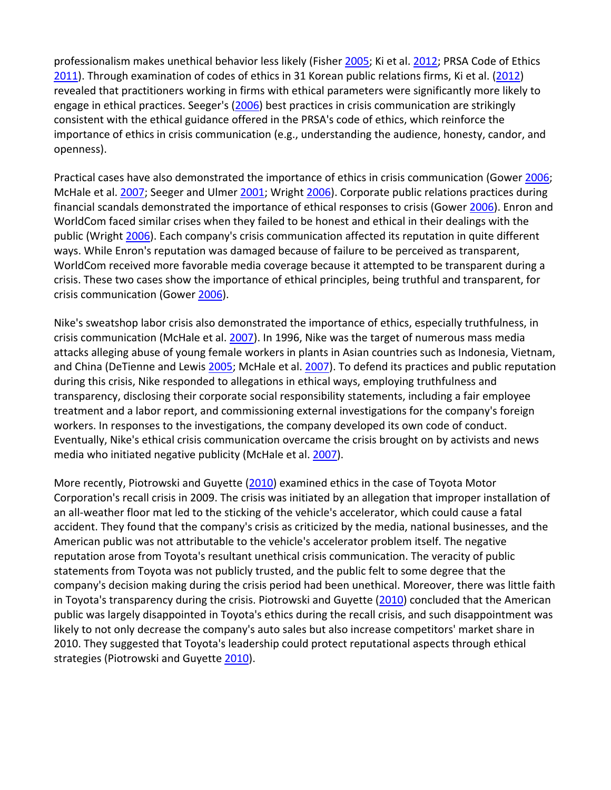professionalism makes unethical behavior less likely (Fisher 2005; Ki et al. 2012; PRSA Code of Ethics 2011). Through examination of codes of ethics in 31 Korean public relations firms, Ki et al. (2012) revealed that practitioners working in firms with ethical parameters were significantly more likely to engage in ethical practices. Seeger's (2006) best practices in crisis communication are strikingly consistent with the ethical guidance offered in the PRSA's code of ethics, which reinforce the importance of ethics in crisis communication (e.g., understanding the audience, honesty, candor, and openness).

Practical cases have also demonstrated the importance of ethics in crisis communication (Gower 2006; McHale et al. 2007; Seeger and Ulmer 2001; Wright 2006). Corporate public relations practices during financial scandals demonstrated the importance of ethical responses to crisis (Gower 2006). Enron and WorldCom faced similar crises when they failed to be honest and ethical in their dealings with the public (Wright 2006). Each company's crisis communication affected its reputation in quite different ways. While Enron's reputation was damaged because of failure to be perceived as transparent, WorldCom received more favorable media coverage because it attempted to be transparent during a crisis. These two cases show the importance of ethical principles, being truthful and transparent, for crisis communication (Gower 2006).

Nike's sweatshop labor crisis also demonstrated the importance of ethics, especially truthfulness, in crisis communication (McHale et al. 2007). In 1996, Nike was the target of numerous mass media attacks alleging abuse of young female workers in plants in Asian countries such as Indonesia, Vietnam, and China (DeTienne and Lewis 2005; McHale et al. 2007). To defend its practices and public reputation during this crisis, Nike responded to allegations in ethical ways, employing truthfulness and transparency, disclosing their corporate social responsibility statements, including a fair employee treatment and a labor report, and commissioning external investigations for the company's foreign workers. In responses to the investigations, the company developed its own code of conduct. Eventually, Nike's ethical crisis communication overcame the crisis brought on by activists and news media who initiated negative publicity (McHale et al. 2007).

More recently, Piotrowski and Guyette (2010) examined ethics in the case of Toyota Motor Corporation's recall crisis in 2009. The crisis was initiated by an allegation that improper installation of an all‐weather floor mat led to the sticking of the vehicle's accelerator, which could cause a fatal accident. They found that the company's crisis as criticized by the media, national businesses, and the American public was not attributable to the vehicle's accelerator problem itself. The negative reputation arose from Toyota's resultant unethical crisis communication. The veracity of public statements from Toyota was not publicly trusted, and the public felt to some degree that the company's decision making during the crisis period had been unethical. Moreover, there was little faith in Toyota's transparency during the crisis. Piotrowski and Guyette (2010) concluded that the American public was largely disappointed in Toyota's ethics during the recall crisis, and such disappointment was likely to not only decrease the company's auto sales but also increase competitors' market share in 2010. They suggested that Toyota's leadership could protect reputational aspects through ethical strategies (Piotrowski and Guyette 2010).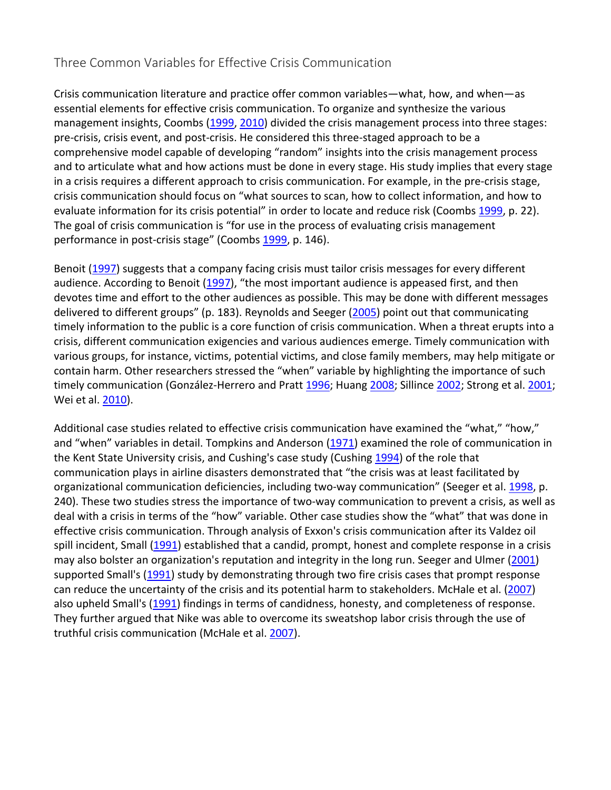#### Three Common Variables for Effective Crisis Communication

Crisis communication literature and practice offer common variables—what, how, and when—as essential elements for effective crisis communication. To organize and synthesize the various management insights, Coombs (1999, 2010) divided the crisis management process into three stages: pre-crisis, crisis event, and post-crisis. He considered this three-staged approach to be a comprehensive model capable of developing "random" insights into the crisis management process and to articulate what and how actions must be done in every stage. His study implies that every stage in a crisis requires a different approach to crisis communication. For example, in the pre‐crisis stage, crisis communication should focus on "what sources to scan, how to collect information, and how to evaluate information for its crisis potential" in order to locate and reduce risk (Coombs 1999, p. 22). The goal of crisis communication is "for use in the process of evaluating crisis management performance in post-crisis stage" (Coombs 1999, p. 146).

Benoit (1997) suggests that a company facing crisis must tailor crisis messages for every different audience. According to Benoit (1997), "the most important audience is appeased first, and then devotes time and effort to the other audiences as possible. This may be done with different messages delivered to different groups" (p. 183). Reynolds and Seeger (2005) point out that communicating timely information to the public is a core function of crisis communication. When a threat erupts into a crisis, different communication exigencies and various audiences emerge. Timely communication with various groups, for instance, victims, potential victims, and close family members, may help mitigate or contain harm. Other researchers stressed the "when" variable by highlighting the importance of such timely communication (González-Herrero and Pratt 1996; Huang 2008; Sillince 2002; Strong et al. 2001; Wei et al. 2010).

Additional case studies related to effective crisis communication have examined the "what," "how," and "when" variables in detail. Tompkins and Anderson (1971) examined the role of communication in the Kent State University crisis, and Cushing's case study (Cushing 1994) of the role that communication plays in airline disasters demonstrated that "the crisis was at least facilitated by organizational communication deficiencies, including two-way communication" (Seeger et al. 1998, p. 240). These two studies stress the importance of two-way communication to prevent a crisis, as well as deal with a crisis in terms of the "how" variable. Other case studies show the "what" that was done in effective crisis communication. Through analysis of Exxon's crisis communication after its Valdez oil spill incident, Small (1991) established that a candid, prompt, honest and complete response in a crisis may also bolster an organization's reputation and integrity in the long run. Seeger and Ulmer (2001) supported Small's (1991) study by demonstrating through two fire crisis cases that prompt response can reduce the uncertainty of the crisis and its potential harm to stakeholders. McHale et al. (2007) also upheld Small's (1991) findings in terms of candidness, honesty, and completeness of response. They further argued that Nike was able to overcome its sweatshop labor crisis through the use of truthful crisis communication (McHale et al. 2007).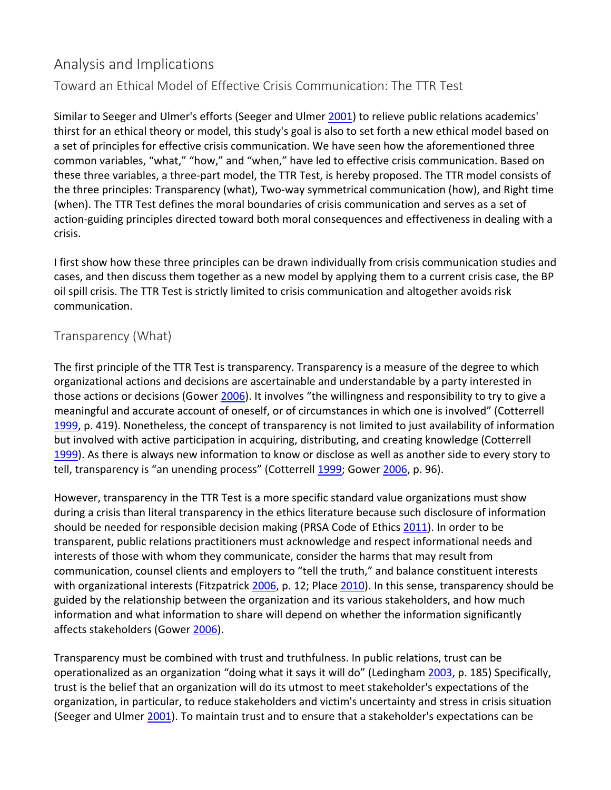## Analysis and Implications Toward an Ethical Model of Effective Crisis Communication: The TTR Test

Similar to Seeger and Ulmer's efforts (Seeger and Ulmer 2001) to relieve public relations academics' thirst for an ethical theory or model, this study's goal is also to set forth a new ethical model based on a set of principles for effective crisis communication. We have seen how the aforementioned three common variables, "what," "how," and "when," have led to effective crisis communication. Based on these three variables, a three‐part model, the TTR Test, is hereby proposed. The TTR model consists of the three principles: Transparency (what), Two‐way symmetrical communication (how), and Right time (when). The TTR Test defines the moral boundaries of crisis communication and serves as a set of action-guiding principles directed toward both moral consequences and effectiveness in dealing with a crisis.

I first show how these three principles can be drawn individually from crisis communication studies and cases, and then discuss them together as a new model by applying them to a current crisis case, the BP oil spill crisis. The TTR Test is strictly limited to crisis communication and altogether avoids risk communication.

#### Transparency (What)

The first principle of the TTR Test is transparency. Transparency is a measure of the degree to which organizational actions and decisions are ascertainable and understandable by a party interested in those actions or decisions (Gower 2006). It involves "the willingness and responsibility to try to give a meaningful and accurate account of oneself, or of circumstances in which one is involved" (Cotterrell 1999, p. 419). Nonetheless, the concept of transparency is not limited to just availability of information but involved with active participation in acquiring, distributing, and creating knowledge (Cotterrell 1999). As there is always new information to know or disclose as well as another side to every story to tell, transparency is "an unending process" (Cotterrell 1999; Gower 2006, p. 96).

However, transparency in the TTR Test is a more specific standard value organizations must show during a crisis than literal transparency in the ethics literature because such disclosure of information should be needed for responsible decision making (PRSA Code of Ethics 2011). In order to be transparent, public relations practitioners must acknowledge and respect informational needs and interests of those with whom they communicate, consider the harms that may result from communication, counsel clients and employers to "tell the truth," and balance constituent interests with organizational interests (Fitzpatrick 2006, p. 12; Place 2010). In this sense, transparency should be guided by the relationship between the organization and its various stakeholders, and how much information and what information to share will depend on whether the information significantly affects stakeholders (Gower 2006).

Transparency must be combined with trust and truthfulness. In public relations, trust can be operationalized as an organization "doing what it says it will do" (Ledingham 2003, p. 185) Specifically, trust is the belief that an organization will do its utmost to meet stakeholder's expectations of the organization, in particular, to reduce stakeholders and victim's uncertainty and stress in crisis situation (Seeger and Ulmer 2001). To maintain trust and to ensure that a stakeholder's expectations can be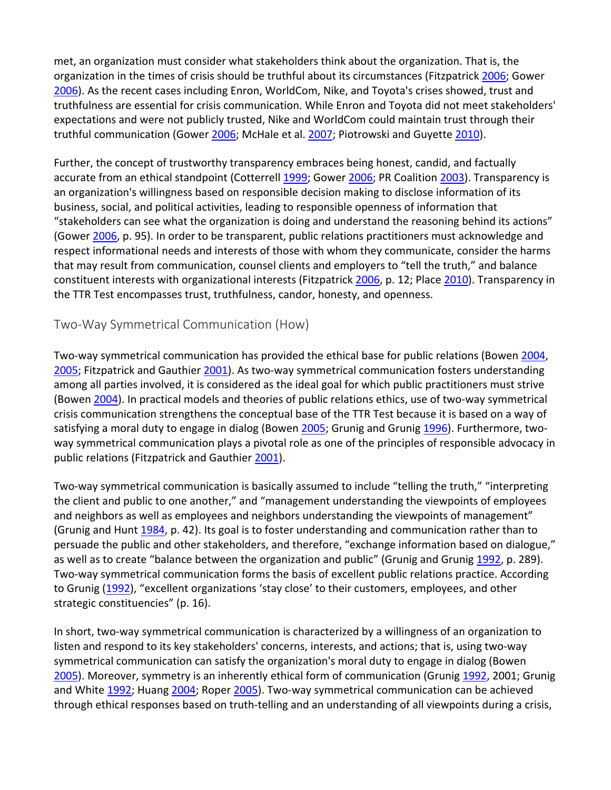met, an organization must consider what stakeholders think about the organization. That is, the organization in the times of crisis should be truthful about its circumstances (Fitzpatrick 2006; Gower 2006). As the recent cases including Enron, WorldCom, Nike, and Toyota's crises showed, trust and truthfulness are essential for crisis communication. While Enron and Toyota did not meet stakeholders' expectations and were not publicly trusted, Nike and WorldCom could maintain trust through their truthful communication (Gower 2006; McHale et al. 2007; Piotrowski and Guyette 2010).

Further, the concept of trustworthy transparency embraces being honest, candid, and factually accurate from an ethical standpoint (Cotterrell 1999; Gower 2006; PR Coalition 2003). Transparency is an organization's willingness based on responsible decision making to disclose information of its business, social, and political activities, leading to responsible openness of information that "stakeholders can see what the organization is doing and understand the reasoning behind its actions" (Gower 2006, p. 95). In order to be transparent, public relations practitioners must acknowledge and respect informational needs and interests of those with whom they communicate, consider the harms that may result from communication, counsel clients and employers to "tell the truth," and balance constituent interests with organizational interests (Fitzpatrick 2006, p. 12; Place 2010). Transparency in the TTR Test encompasses trust, truthfulness, candor, honesty, and openness.

#### Two‐Way Symmetrical Communication (How)

Two-way symmetrical communication has provided the ethical base for public relations (Bowen 2004, 2005; Fitzpatrick and Gauthier 2001). As two-way symmetrical communication fosters understanding among all parties involved, it is considered as the ideal goal for which public practitioners must strive (Bowen 2004). In practical models and theories of public relations ethics, use of two‐way symmetrical crisis communication strengthens the conceptual base of the TTR Test because it is based on a way of satisfying a moral duty to engage in dialog (Bowen 2005; Grunig and Grunig 1996). Furthermore, twoway symmetrical communication plays a pivotal role as one of the principles of responsible advocacy in public relations (Fitzpatrick and Gauthier 2001).

Two-way symmetrical communication is basically assumed to include "telling the truth," "interpreting the client and public to one another," and "management understanding the viewpoints of employees and neighbors as well as employees and neighbors understanding the viewpoints of management" (Grunig and Hunt 1984, p. 42). Its goal is to foster understanding and communication rather than to persuade the public and other stakeholders, and therefore, "exchange information based on dialogue," as well as to create "balance between the organization and public" (Grunig and Grunig 1992, p. 289). Two-way symmetrical communication forms the basis of excellent public relations practice. According to Grunig (1992), "excellent organizations 'stay close' to their customers, employees, and other strategic constituencies" (p. 16).

In short, two-way symmetrical communication is characterized by a willingness of an organization to listen and respond to its key stakeholders' concerns, interests, and actions; that is, using two‐way symmetrical communication can satisfy the organization's moral duty to engage in dialog (Bowen 2005). Moreover, symmetry is an inherently ethical form of communication (Grunig 1992, 2001; Grunig and White 1992; Huang 2004; Roper 2005). Two-way symmetrical communication can be achieved through ethical responses based on truth‐telling and an understanding of all viewpoints during a crisis,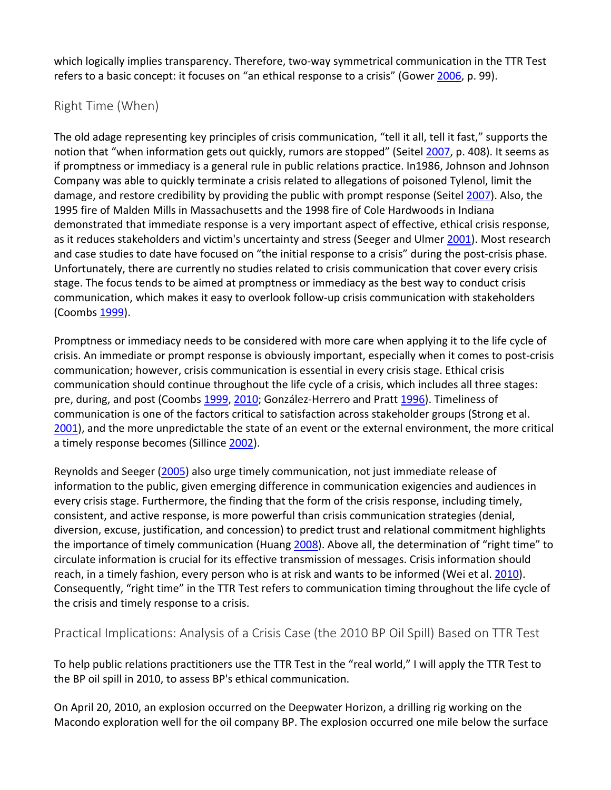which logically implies transparency. Therefore, two-way symmetrical communication in the TTR Test refers to a basic concept: it focuses on "an ethical response to a crisis" (Gower 2006, p. 99).

#### Right Time (When)

The old adage representing key principles of crisis communication, "tell it all, tell it fast," supports the notion that "when information gets out quickly, rumors are stopped" (Seitel 2007, p. 408). It seems as if promptness or immediacy is a general rule in public relations practice. In1986, Johnson and Johnson Company was able to quickly terminate a crisis related to allegations of poisoned Tylenol, limit the damage, and restore credibility by providing the public with prompt response (Seitel 2007). Also, the 1995 fire of Malden Mills in Massachusetts and the 1998 fire of Cole Hardwoods in Indiana demonstrated that immediate response is a very important aspect of effective, ethical crisis response, as it reduces stakeholders and victim's uncertainty and stress (Seeger and Ulmer 2001). Most research and case studies to date have focused on "the initial response to a crisis" during the post-crisis phase. Unfortunately, there are currently no studies related to crisis communication that cover every crisis stage. The focus tends to be aimed at promptness or immediacy as the best way to conduct crisis communication, which makes it easy to overlook follow‐up crisis communication with stakeholders (Coombs 1999).

Promptness or immediacy needs to be considered with more care when applying it to the life cycle of crisis. An immediate or prompt response is obviously important, especially when it comes to post-crisis communication; however, crisis communication is essential in every crisis stage. Ethical crisis communication should continue throughout the life cycle of a crisis, which includes all three stages: pre, during, and post (Coombs 1999, 2010; González-Herrero and Pratt 1996). Timeliness of communication is one of the factors critical to satisfaction across stakeholder groups (Strong et al. 2001), and the more unpredictable the state of an event or the external environment, the more critical a timely response becomes (Sillince 2002).

Reynolds and Seeger (2005) also urge timely communication, not just immediate release of information to the public, given emerging difference in communication exigencies and audiences in every crisis stage. Furthermore, the finding that the form of the crisis response, including timely, consistent, and active response, is more powerful than crisis communication strategies (denial, diversion, excuse, justification, and concession) to predict trust and relational commitment highlights the importance of timely communication (Huang 2008). Above all, the determination of "right time" to circulate information is crucial for its effective transmission of messages. Crisis information should reach, in a timely fashion, every person who is at risk and wants to be informed (Wei et al. 2010). Consequently, "right time" in the TTR Test refers to communication timing throughout the life cycle of the crisis and timely response to a crisis.

Practical Implications: Analysis of a Crisis Case (the 2010 BP Oil Spill) Based on TTR Test

To help public relations practitioners use the TTR Test in the "real world," I will apply the TTR Test to the BP oil spill in 2010, to assess BP's ethical communication.

On April 20, 2010, an explosion occurred on the Deepwater Horizon, a drilling rig working on the Macondo exploration well for the oil company BP. The explosion occurred one mile below the surface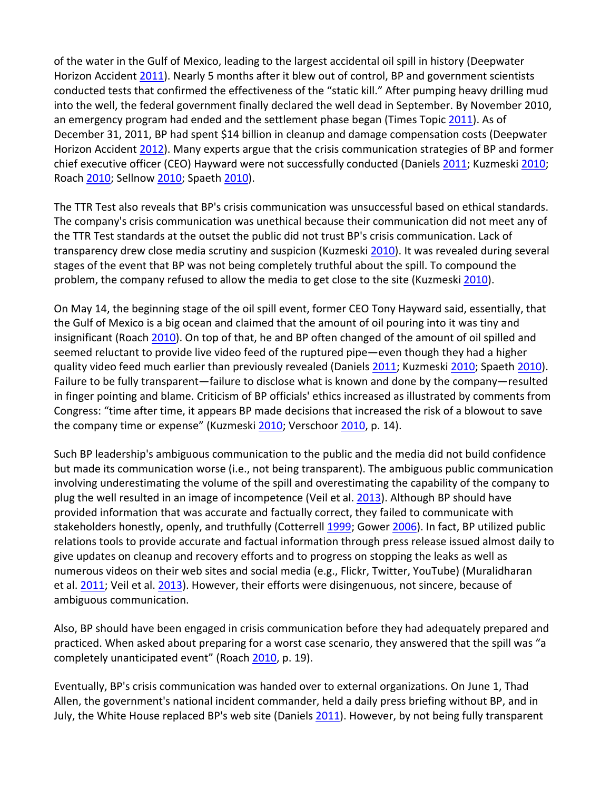of the water in the Gulf of Mexico, leading to the largest accidental oil spill in history (Deepwater Horizon Accident 2011). Nearly 5 months after it blew out of control, BP and government scientists conducted tests that confirmed the effectiveness of the "static kill." After pumping heavy drilling mud into the well, the federal government finally declared the well dead in September. By November 2010, an emergency program had ended and the settlement phase began (Times Topic 2011). As of December 31, 2011, BP had spent \$14 billion in cleanup and damage compensation costs (Deepwater Horizon Accident 2012). Many experts argue that the crisis communication strategies of BP and former chief executive officer (CEO) Hayward were not successfully conducted (Daniels 2011; Kuzmeski 2010; Roach 2010; Sellnow 2010; Spaeth 2010).

The TTR Test also reveals that BP's crisis communication was unsuccessful based on ethical standards. The company's crisis communication was unethical because their communication did not meet any of the TTR Test standards at the outset the public did not trust BP's crisis communication. Lack of transparency drew close media scrutiny and suspicion (Kuzmeski 2010). It was revealed during several stages of the event that BP was not being completely truthful about the spill. To compound the problem, the company refused to allow the media to get close to the site (Kuzmeski 2010).

On May 14, the beginning stage of the oil spill event, former CEO Tony Hayward said, essentially, that the Gulf of Mexico is a big ocean and claimed that the amount of oil pouring into it was tiny and insignificant (Roach 2010). On top of that, he and BP often changed of the amount of oil spilled and seemed reluctant to provide live video feed of the ruptured pipe—even though they had a higher quality video feed much earlier than previously revealed (Daniels 2011; Kuzmeski 2010; Spaeth 2010). Failure to be fully transparent—failure to disclose what is known and done by the company—resulted in finger pointing and blame. Criticism of BP officials' ethics increased as illustrated by comments from Congress: "time after time, it appears BP made decisions that increased the risk of a blowout to save the company time or expense" (Kuzmeski 2010; Verschoor 2010, p. 14).

Such BP leadership's ambiguous communication to the public and the media did not build confidence but made its communication worse (i.e., not being transparent). The ambiguous public communication involving underestimating the volume of the spill and overestimating the capability of the company to plug the well resulted in an image of incompetence (Veil et al. 2013). Although BP should have provided information that was accurate and factually correct, they failed to communicate with stakeholders honestly, openly, and truthfully (Cotterrell 1999; Gower 2006). In fact, BP utilized public relations tools to provide accurate and factual information through press release issued almost daily to give updates on cleanup and recovery efforts and to progress on stopping the leaks as well as numerous videos on their web sites and social media (e.g., Flickr, Twitter, YouTube) (Muralidharan et al. 2011; Veil et al. 2013). However, their efforts were disingenuous, not sincere, because of ambiguous communication.

Also, BP should have been engaged in crisis communication before they had adequately prepared and practiced. When asked about preparing for a worst case scenario, they answered that the spill was "a completely unanticipated event" (Roach 2010, p. 19).

Eventually, BP's crisis communication was handed over to external organizations. On June 1, Thad Allen, the government's national incident commander, held a daily press briefing without BP, and in July, the White House replaced BP's web site (Daniels 2011). However, by not being fully transparent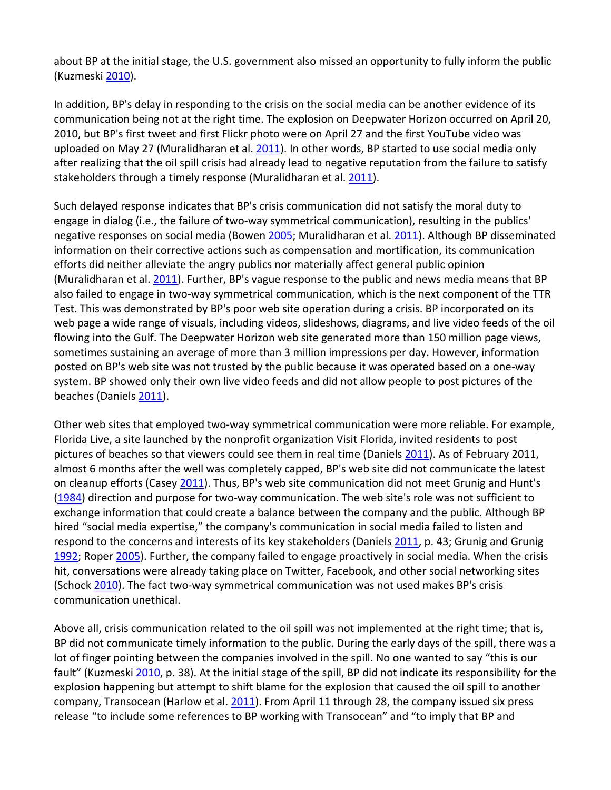about BP at the initial stage, the U.S. government also missed an opportunity to fully inform the public (Kuzmeski 2010).

In addition, BP's delay in responding to the crisis on the social media can be another evidence of its communication being not at the right time. The explosion on Deepwater Horizon occurred on April 20, 2010, but BP's first tweet and first Flickr photo were on April 27 and the first YouTube video was uploaded on May 27 (Muralidharan et al. 2011). In other words, BP started to use social media only after realizing that the oil spill crisis had already lead to negative reputation from the failure to satisfy stakeholders through a timely response (Muralidharan et al. 2011).

Such delayed response indicates that BP's crisis communication did not satisfy the moral duty to engage in dialog (i.e., the failure of two-way symmetrical communication), resulting in the publics' negative responses on social media (Bowen 2005; Muralidharan et al. 2011). Although BP disseminated information on their corrective actions such as compensation and mortification, its communication efforts did neither alleviate the angry publics nor materially affect general public opinion (Muralidharan et al. 2011). Further, BP's vague response to the public and news media means that BP also failed to engage in two-way symmetrical communication, which is the next component of the TTR Test. This was demonstrated by BP's poor web site operation during a crisis. BP incorporated on its web page a wide range of visuals, including videos, slideshows, diagrams, and live video feeds of the oil flowing into the Gulf. The Deepwater Horizon web site generated more than 150 million page views, sometimes sustaining an average of more than 3 million impressions per day. However, information posted on BP's web site was not trusted by the public because it was operated based on a one‐way system. BP showed only their own live video feeds and did not allow people to post pictures of the beaches (Daniels 2011).

Other web sites that employed two‐way symmetrical communication were more reliable. For example, Florida Live, a site launched by the nonprofit organization Visit Florida, invited residents to post pictures of beaches so that viewers could see them in real time (Daniels 2011). As of February 2011, almost 6 months after the well was completely capped, BP's web site did not communicate the latest on cleanup efforts (Casey 2011). Thus, BP's web site communication did not meet Grunig and Hunt's (1984) direction and purpose for two‐way communication. The web site's role was not sufficient to exchange information that could create a balance between the company and the public. Although BP hired "social media expertise," the company's communication in social media failed to listen and respond to the concerns and interests of its key stakeholders (Daniels 2011, p. 43; Grunig and Grunig 1992; Roper 2005). Further, the company failed to engage proactively in social media. When the crisis hit, conversations were already taking place on Twitter, Facebook, and other social networking sites (Schock 2010). The fact two-way symmetrical communication was not used makes BP's crisis communication unethical.

Above all, crisis communication related to the oil spill was not implemented at the right time; that is, BP did not communicate timely information to the public. During the early days of the spill, there was a lot of finger pointing between the companies involved in the spill. No one wanted to say "this is our fault" (Kuzmeski 2010, p. 38). At the initial stage of the spill, BP did not indicate its responsibility for the explosion happening but attempt to shift blame for the explosion that caused the oil spill to another company, Transocean (Harlow et al. 2011). From April 11 through 28, the company issued six press release "to include some references to BP working with Transocean" and "to imply that BP and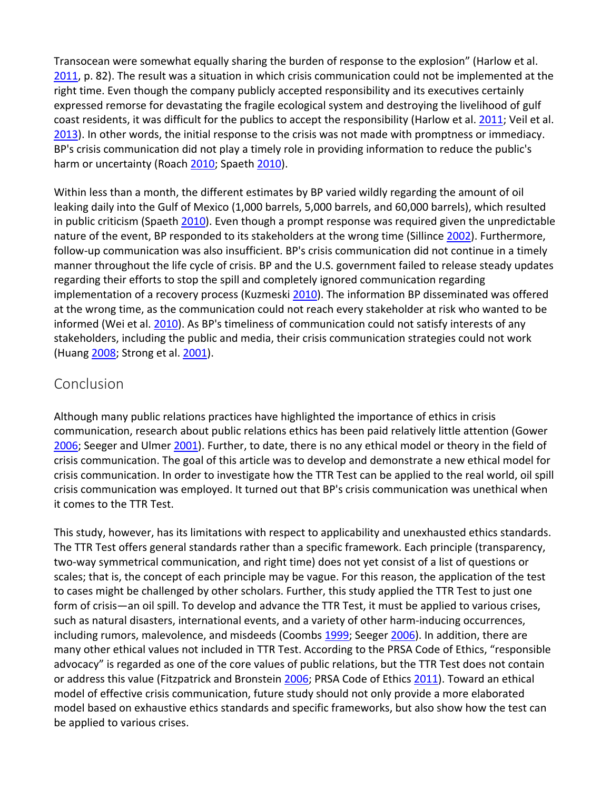Transocean were somewhat equally sharing the burden of response to the explosion" (Harlow et al. 2011, p. 82). The result was a situation in which crisis communication could not be implemented at the right time. Even though the company publicly accepted responsibility and its executives certainly expressed remorse for devastating the fragile ecological system and destroying the livelihood of gulf coast residents, it was difficult for the publics to accept the responsibility (Harlow et al. 2011; Veil et al. 2013). In other words, the initial response to the crisis was not made with promptness or immediacy. BP's crisis communication did not play a timely role in providing information to reduce the public's harm or uncertainty (Roach 2010; Spaeth 2010).

Within less than a month, the different estimates by BP varied wildly regarding the amount of oil leaking daily into the Gulf of Mexico (1,000 barrels, 5,000 barrels, and 60,000 barrels), which resulted in public criticism (Spaeth 2010). Even though a prompt response was required given the unpredictable nature of the event, BP responded to its stakeholders at the wrong time (Sillince 2002). Furthermore, follow-up communication was also insufficient. BP's crisis communication did not continue in a timely manner throughout the life cycle of crisis. BP and the U.S. government failed to release steady updates regarding their efforts to stop the spill and completely ignored communication regarding implementation of a recovery process (Kuzmeski 2010). The information BP disseminated was offered at the wrong time, as the communication could not reach every stakeholder at risk who wanted to be informed (Wei et al. 2010). As BP's timeliness of communication could not satisfy interests of any stakeholders, including the public and media, their crisis communication strategies could not work (Huang 2008; Strong et al. 2001).

#### Conclusion

Although many public relations practices have highlighted the importance of ethics in crisis communication, research about public relations ethics has been paid relatively little attention (Gower 2006; Seeger and Ulmer 2001). Further, to date, there is no any ethical model or theory in the field of crisis communication. The goal of this article was to develop and demonstrate a new ethical model for crisis communication. In order to investigate how the TTR Test can be applied to the real world, oil spill crisis communication was employed. It turned out that BP's crisis communication was unethical when it comes to the TTR Test.

This study, however, has its limitations with respect to applicability and unexhausted ethics standards. The TTR Test offers general standards rather than a specific framework. Each principle (transparency, two‐way symmetrical communication, and right time) does not yet consist of a list of questions or scales; that is, the concept of each principle may be vague. For this reason, the application of the test to cases might be challenged by other scholars. Further, this study applied the TTR Test to just one form of crisis—an oil spill. To develop and advance the TTR Test, it must be applied to various crises, such as natural disasters, international events, and a variety of other harm-inducing occurrences, including rumors, malevolence, and misdeeds (Coombs 1999; Seeger 2006). In addition, there are many other ethical values not included in TTR Test. According to the PRSA Code of Ethics, "responsible advocacy" is regarded as one of the core values of public relations, but the TTR Test does not contain or address this value (Fitzpatrick and Bronstein 2006; PRSA Code of Ethics 2011). Toward an ethical model of effective crisis communication, future study should not only provide a more elaborated model based on exhaustive ethics standards and specific frameworks, but also show how the test can be applied to various crises.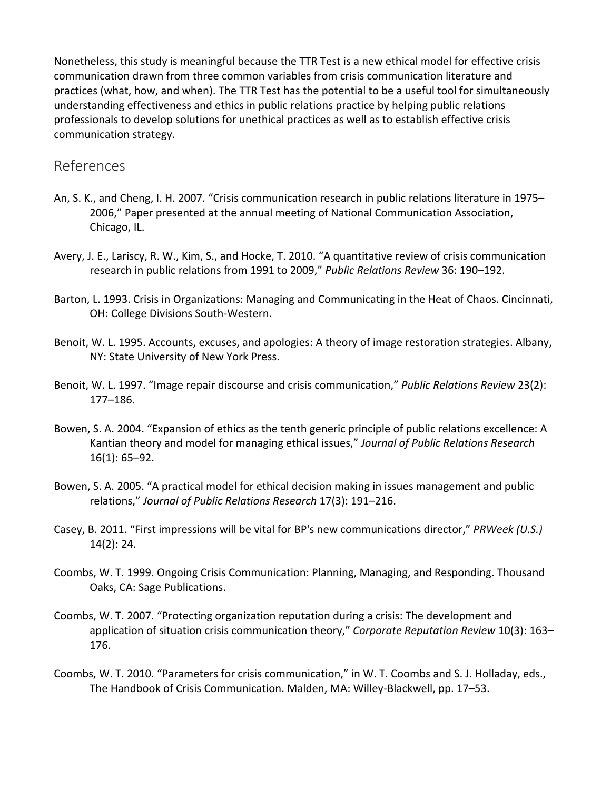Nonetheless, this study is meaningful because the TTR Test is a new ethical model for effective crisis communication drawn from three common variables from crisis communication literature and practices (what, how, and when). The TTR Test has the potential to be a useful tool for simultaneously understanding effectiveness and ethics in public relations practice by helping public relations professionals to develop solutions for unethical practices as well as to establish effective crisis communication strategy.

#### References

- An, S. K., and Cheng, I. H. 2007. "Crisis communication research in public relations literature in 1975– 2006," Paper presented at the annual meeting of National Communication Association, Chicago, IL.
- Avery, J. E., Lariscy, R. W., Kim, S., and Hocke, T. 2010. "A quantitative review of crisis communication research in public relations from 1991 to 2009," *Public Relations Review* 36: 190–192.
- Barton, L. 1993. Crisis in Organizations: Managing and Communicating in the Heat of Chaos. Cincinnati, OH: College Divisions South‐Western.
- Benoit, W. L. 1995. Accounts, excuses, and apologies: A theory of image restoration strategies. Albany, NY: State University of New York Press.
- Benoit, W. L. 1997. "Image repair discourse and crisis communication," *Public Relations Review* 23(2): 177–186.
- Bowen, S. A. 2004. "Expansion of ethics as the tenth generic principle of public relations excellence: A Kantian theory and model for managing ethical issues," *Journal of Public Relations Research* 16(1): 65–92.
- Bowen, S. A. 2005. "A practical model for ethical decision making in issues management and public relations," *Journal of Public Relations Research* 17(3): 191–216.
- Casey, B. 2011. "First impressions will be vital for BP's new communications director," *PRWeek (U.S.)* 14(2): 24.
- Coombs, W. T. 1999. Ongoing Crisis Communication: Planning, Managing, and Responding. Thousand Oaks, CA: Sage Publications.
- Coombs, W. T. 2007. "Protecting organization reputation during a crisis: The development and application of situation crisis communication theory," *Corporate Reputation Review* 10(3): 163– 176.
- Coombs, W. T. 2010. "Parameters for crisis communication," in W. T. Coombs and S. J. Holladay, eds., The Handbook of Crisis Communication. Malden, MA: Willey‐Blackwell, pp. 17–53.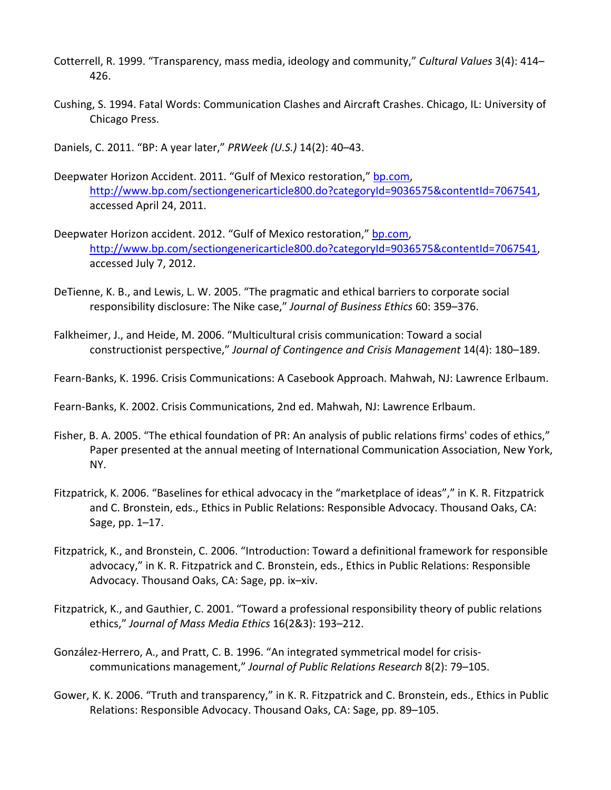- Cotterrell, R. 1999. "Transparency, mass media, ideology and community," *Cultural Values* 3(4): 414– 426.
- Cushing, S. 1994. Fatal Words: Communication Clashes and Aircraft Crashes. Chicago, IL: University of Chicago Press.
- Daniels, C. 2011. "BP: A year later," *PRWeek (U.S.)* 14(2): 40–43.
- Deepwater Horizon Accident. 2011. "Gulf of Mexico restoration," bp.com, http://www.bp.com/sectiongenericarticle800.do?categoryId=9036575&contentId=7067541, accessed April 24, 2011.
- Deepwater Horizon accident. 2012. "Gulf of Mexico restoration," bp.com, http://www.bp.com/sectiongenericarticle800.do?categoryId=9036575&contentId=7067541, accessed July 7, 2012.
- DeTienne, K. B., and Lewis, L. W. 2005. "The pragmatic and ethical barriers to corporate social responsibility disclosure: The Nike case," *Journal of Business Ethics* 60: 359–376.
- Falkheimer, J., and Heide, M. 2006. "Multicultural crisis communication: Toward a social constructionist perspective," *Journal of Contingence and Crisis Management* 14(4): 180–189.
- Fearn‐Banks, K. 1996. Crisis Communications: A Casebook Approach. Mahwah, NJ: Lawrence Erlbaum.
- Fearn‐Banks, K. 2002. Crisis Communications, 2nd ed. Mahwah, NJ: Lawrence Erlbaum.
- Fisher, B. A. 2005. "The ethical foundation of PR: An analysis of public relations firms' codes of ethics," Paper presented at the annual meeting of International Communication Association, New York, NY.
- Fitzpatrick, K. 2006. "Baselines for ethical advocacy in the "marketplace of ideas"," in K. R. Fitzpatrick and C. Bronstein, eds., Ethics in Public Relations: Responsible Advocacy. Thousand Oaks, CA: Sage, pp. 1–17.
- Fitzpatrick, K., and Bronstein, C. 2006. "Introduction: Toward a definitional framework for responsible advocacy," in K. R. Fitzpatrick and C. Bronstein, eds., Ethics in Public Relations: Responsible Advocacy. Thousand Oaks, CA: Sage, pp. ix–xiv.
- Fitzpatrick, K., and Gauthier, C. 2001. "Toward a professional responsibility theory of public relations ethics," *Journal of Mass Media Ethics* 16(2&3): 193–212.
- González‐Herrero, A., and Pratt, C. B. 1996. "An integrated symmetrical model for crisis‐ communications management," *Journal of Public Relations Research* 8(2): 79–105.
- Gower, K. K. 2006. "Truth and transparency," in K. R. Fitzpatrick and C. Bronstein, eds., Ethics in Public Relations: Responsible Advocacy. Thousand Oaks, CA: Sage, pp. 89–105.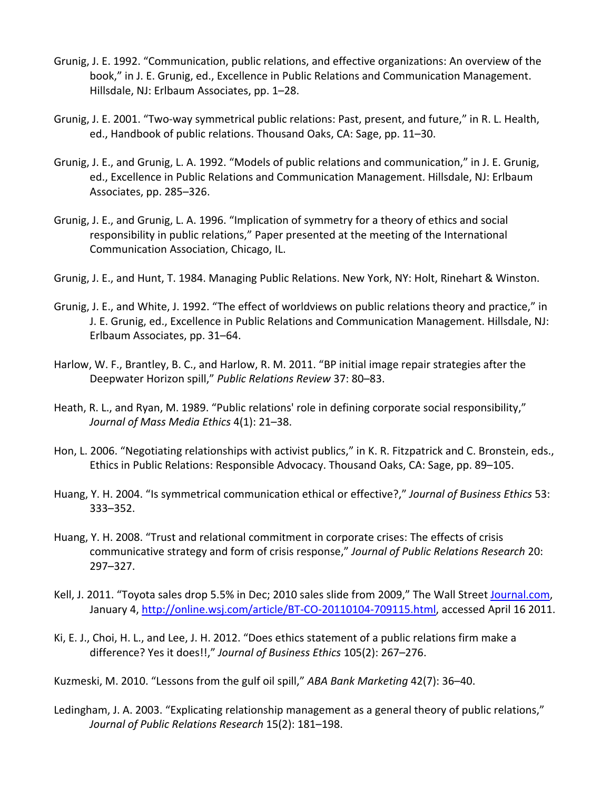- Grunig, J. E. 1992. "Communication, public relations, and effective organizations: An overview of the book," in J. E. Grunig, ed., Excellence in Public Relations and Communication Management. Hillsdale, NJ: Erlbaum Associates, pp. 1–28.
- Grunig, J. E. 2001. "Two‐way symmetrical public relations: Past, present, and future," in R. L. Health, ed., Handbook of public relations. Thousand Oaks, CA: Sage, pp. 11–30.
- Grunig, J. E., and Grunig, L. A. 1992. "Models of public relations and communication," in J. E. Grunig, ed., Excellence in Public Relations and Communication Management. Hillsdale, NJ: Erlbaum Associates, pp. 285–326.
- Grunig, J. E., and Grunig, L. A. 1996. "Implication of symmetry for a theory of ethics and social responsibility in public relations," Paper presented at the meeting of the International Communication Association, Chicago, IL.
- Grunig, J. E., and Hunt, T. 1984. Managing Public Relations. New York, NY: Holt, Rinehart & Winston.
- Grunig, J. E., and White, J. 1992. "The effect of worldviews on public relations theory and practice," in J. E. Grunig, ed., Excellence in Public Relations and Communication Management. Hillsdale, NJ: Erlbaum Associates, pp. 31–64.
- Harlow, W. F., Brantley, B. C., and Harlow, R. M. 2011. "BP initial image repair strategies after the Deepwater Horizon spill," *Public Relations Review* 37: 80–83.
- Heath, R. L., and Ryan, M. 1989. "Public relations' role in defining corporate social responsibility," *Journal of Mass Media Ethics* 4(1): 21–38.
- Hon, L. 2006. "Negotiating relationships with activist publics," in K. R. Fitzpatrick and C. Bronstein, eds., Ethics in Public Relations: Responsible Advocacy. Thousand Oaks, CA: Sage, pp. 89–105.
- Huang, Y. H. 2004. "Is symmetrical communication ethical or effective?," *Journal of Business Ethics* 53: 333–352.
- Huang, Y. H. 2008. "Trust and relational commitment in corporate crises: The effects of crisis communicative strategy and form of crisis response," *Journal of Public Relations Research* 20: 297–327.
- Kell, J. 2011. "Toyota sales drop 5.5% in Dec; 2010 sales slide from 2009," The Wall Street Journal.com, January 4, http://online.wsj.com/article/BT-CO-20110104-709115.html, accessed April 16 2011.
- Ki, E. J., Choi, H. L., and Lee, J. H. 2012. "Does ethics statement of a public relations firm make a difference? Yes it does!!," *Journal of Business Ethics* 105(2): 267–276.

Kuzmeski, M. 2010. "Lessons from the gulf oil spill," *ABA Bank Marketing* 42(7): 36–40.

Ledingham, J. A. 2003. "Explicating relationship management as a general theory of public relations," *Journal of Public Relations Research* 15(2): 181–198.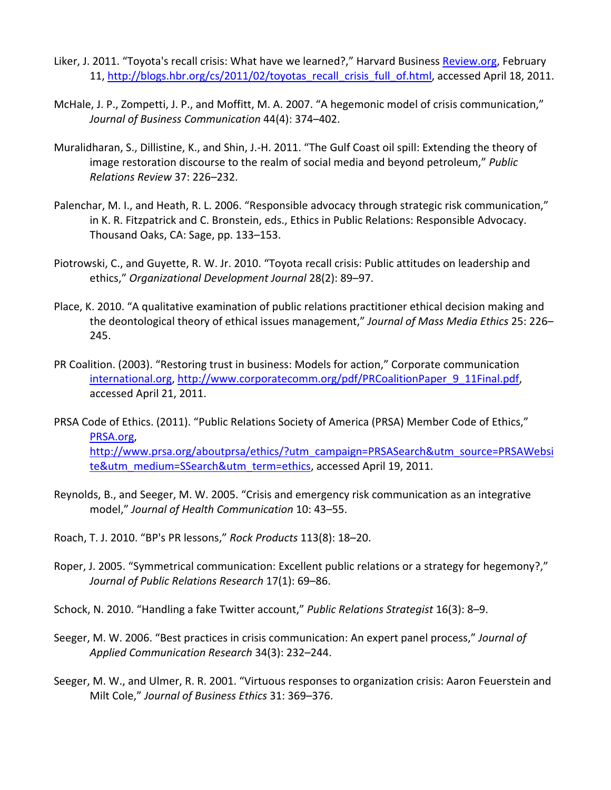- Liker, J. 2011. "Toyota's recall crisis: What have we learned?," Harvard Business Review.org, February 11, http://blogs.hbr.org/cs/2011/02/toyotas\_recall\_crisis\_full\_of.html, accessed April 18, 2011.
- McHale, J. P., Zompetti, J. P., and Moffitt, M. A. 2007. "A hegemonic model of crisis communication," *Journal of Business Communication* 44(4): 374–402.
- Muralidharan, S., Dillistine, K., and Shin, J.‐H. 2011. "The Gulf Coast oil spill: Extending the theory of image restoration discourse to the realm of social media and beyond petroleum," *Public Relations Review* 37: 226–232.
- Palenchar, M. I., and Heath, R. L. 2006. "Responsible advocacy through strategic risk communication," in K. R. Fitzpatrick and C. Bronstein, eds., Ethics in Public Relations: Responsible Advocacy. Thousand Oaks, CA: Sage, pp. 133–153.
- Piotrowski, C., and Guyette, R. W. Jr. 2010. "Toyota recall crisis: Public attitudes on leadership and ethics," *Organizational Development Journal* 28(2): 89–97.
- Place, K. 2010. "A qualitative examination of public relations practitioner ethical decision making and the deontological theory of ethical issues management," *Journal of Mass Media Ethics* 25: 226– 245.
- PR Coalition. (2003). "Restoring trust in business: Models for action," Corporate communication international.org, http://www.corporatecomm.org/pdf/PRCoalitionPaper\_9\_11Final.pdf, accessed April 21, 2011.
- PRSA Code of Ethics. (2011). "Public Relations Society of America (PRSA) Member Code of Ethics," PRSA.org, http://www.prsa.org/aboutprsa/ethics/?utm\_campaign=PRSASearch&utm\_source=PRSAWebsi te&utm\_medium=SSearch&utm\_term=ethics, accessed April 19, 2011.
- Reynolds, B., and Seeger, M. W. 2005. "Crisis and emergency risk communication as an integrative model," *Journal of Health Communication* 10: 43–55.
- Roach, T. J. 2010. "BP's PR lessons," *Rock Products* 113(8): 18–20.
- Roper, J. 2005. "Symmetrical communication: Excellent public relations or a strategy for hegemony?," *Journal of Public Relations Research* 17(1): 69–86.

Schock, N. 2010. "Handling a fake Twitter account," *Public Relations Strategist* 16(3): 8–9.

- Seeger, M. W. 2006. "Best practices in crisis communication: An expert panel process," *Journal of Applied Communication Research* 34(3): 232–244.
- Seeger, M. W., and Ulmer, R. R. 2001. "Virtuous responses to organization crisis: Aaron Feuerstein and Milt Cole," *Journal of Business Ethics* 31: 369–376.